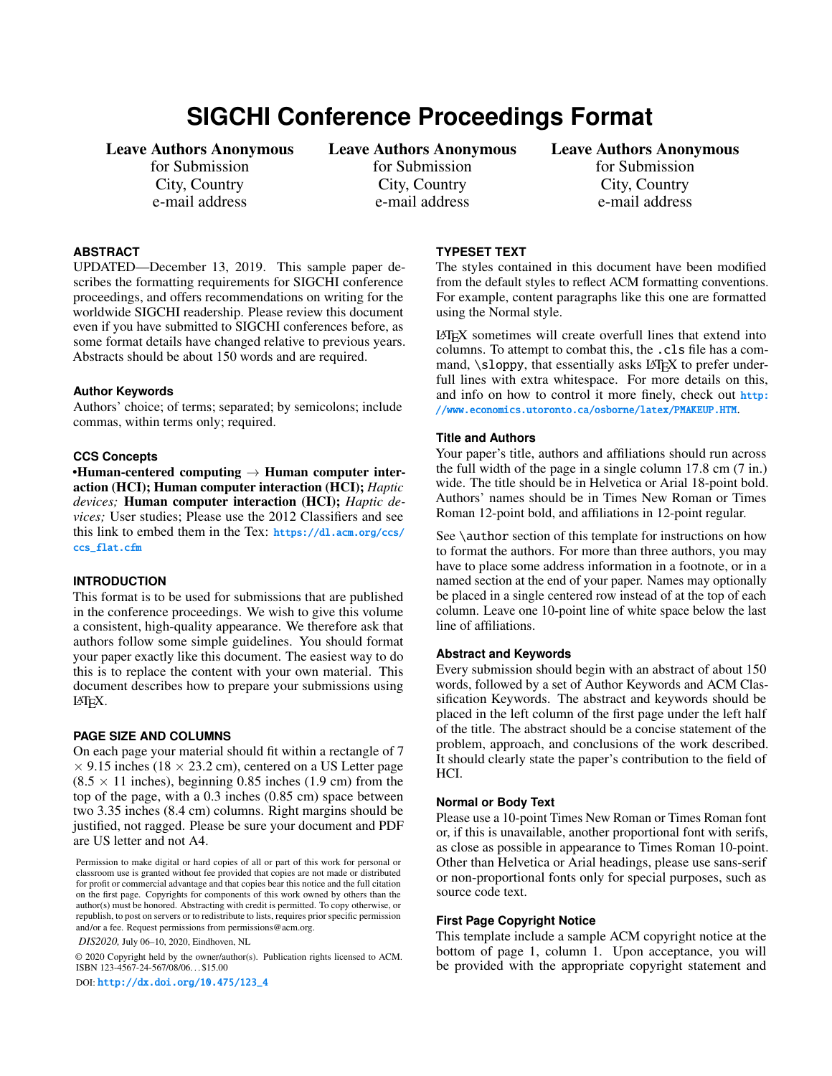# **SIGCHI Conference Proceedings Format**

# Leave Authors Anonymous

for Submission City, Country e-mail address

# Leave Authors Anonymous

for Submission City, Country e-mail address

## Leave Authors Anonymous

for Submission City, Country e-mail address

## **ABSTRACT**

UPDATED—December 13, 2019. This sample paper describes the formatting requirements for SIGCHI conference proceedings, and offers recommendations on writing for the worldwide SIGCHI readership. Please review this document even if you have submitted to SIGCHI conferences before, as some format details have changed relative to previous years. Abstracts should be about 150 words and are required.

## **Author Keywords**

Authors' choice; of terms; separated; by semicolons; include commas, within terms only; required.

#### **CCS Concepts**

•Human-centered computing  $\rightarrow$  Human computer interaction (HCI); Human computer interaction (HCI); *Haptic devices;* Human computer interaction (HCI); *Haptic devices;* User studies; Please use the 2012 Classifiers and see this link to embed them in the Tex: [https://dl.acm.org/ccs/](https://dl.acm.org/ccs/ccs_flat.cfm) [ccs\\_flat.cfm](https://dl.acm.org/ccs/ccs_flat.cfm)

## **INTRODUCTION**

This format is to be used for submissions that are published in the conference proceedings. We wish to give this volume a consistent, high-quality appearance. We therefore ask that authors follow some simple guidelines. You should format your paper exactly like this document. The easiest way to do this is to replace the content with your own material. This document describes how to prepare your submissions using LATEX.

#### **PAGE SIZE AND COLUMNS**

On each page your material should fit within a rectangle of 7  $\times$  9.15 inches (18  $\times$  23.2 cm), centered on a US Letter page  $(8.5 \times 11)$  inches), beginning 0.85 inches (1.9 cm) from the top of the page, with a 0.3 inches (0.85 cm) space between two 3.35 inches (8.4 cm) columns. Right margins should be justified, not ragged. Please be sure your document and PDF are US letter and not A4.

Permission to make digital or hard copies of all or part of this work for personal or classroom use is granted without fee provided that copies are not made or distributed for profit or commercial advantage and that copies bear this notice and the full citation on the first page. Copyrights for components of this work owned by others than the author(s) must be honored. Abstracting with credit is permitted. To copy otherwise, or republish, to post on servers or to redistribute to lists, requires prior specific permission and/or a fee. Request permissions from permissions@acm.org.

*DIS2020,* July 06–10, 2020, Eindhoven, NL

© 2020 Copyright held by the owner/author(s). Publication rights licensed to ACM. ISBN 123-4567-24-567/08/06. . . \$15.00

DOI: [http://dx.doi.org/10.475/123\\_4](http://dx.doi.org/10.475/123_4)

## **TYPESET TEXT**

The styles contained in this document have been modified from the default styles to reflect ACM formatting conventions. For example, content paragraphs like this one are formatted using the Normal style.

LATEX sometimes will create overfull lines that extend into columns. To attempt to combat this, the .cls file has a command,  $\succeq$  sloppy, that essentially asks LAT<sub>E</sub>X to prefer underfull lines with extra whitespace. For more details on this, and info on how to control it more finely, check out [http:](http://www.economics.utoronto.ca/osborne/latex/PMAKEUP.HTM) [//www.economics.utoronto.ca/osborne/latex/PMAKEUP.HTM](http://www.economics.utoronto.ca/osborne/latex/PMAKEUP.HTM).

#### **Title and Authors**

Your paper's title, authors and affiliations should run across the full width of the page in a single column 17.8 cm (7 in.) wide. The title should be in Helvetica or Arial 18-point bold. Authors' names should be in Times New Roman or Times Roman 12-point bold, and affiliations in 12-point regular.

See \author section of this template for instructions on how to format the authors. For more than three authors, you may have to place some address information in a footnote, or in a named section at the end of your paper. Names may optionally be placed in a single centered row instead of at the top of each column. Leave one 10-point line of white space below the last line of affiliations.

## **Abstract and Keywords**

Every submission should begin with an abstract of about 150 words, followed by a set of Author Keywords and ACM Classification Keywords. The abstract and keywords should be placed in the left column of the first page under the left half of the title. The abstract should be a concise statement of the problem, approach, and conclusions of the work described. It should clearly state the paper's contribution to the field of HCI.

#### **Normal or Body Text**

Please use a 10-point Times New Roman or Times Roman font or, if this is unavailable, another proportional font with serifs, as close as possible in appearance to Times Roman 10-point. Other than Helvetica or Arial headings, please use sans-serif or non-proportional fonts only for special purposes, such as source code text.

#### **First Page Copyright Notice**

This template include a sample ACM copyright notice at the bottom of page 1, column 1. Upon acceptance, you will be provided with the appropriate copyright statement and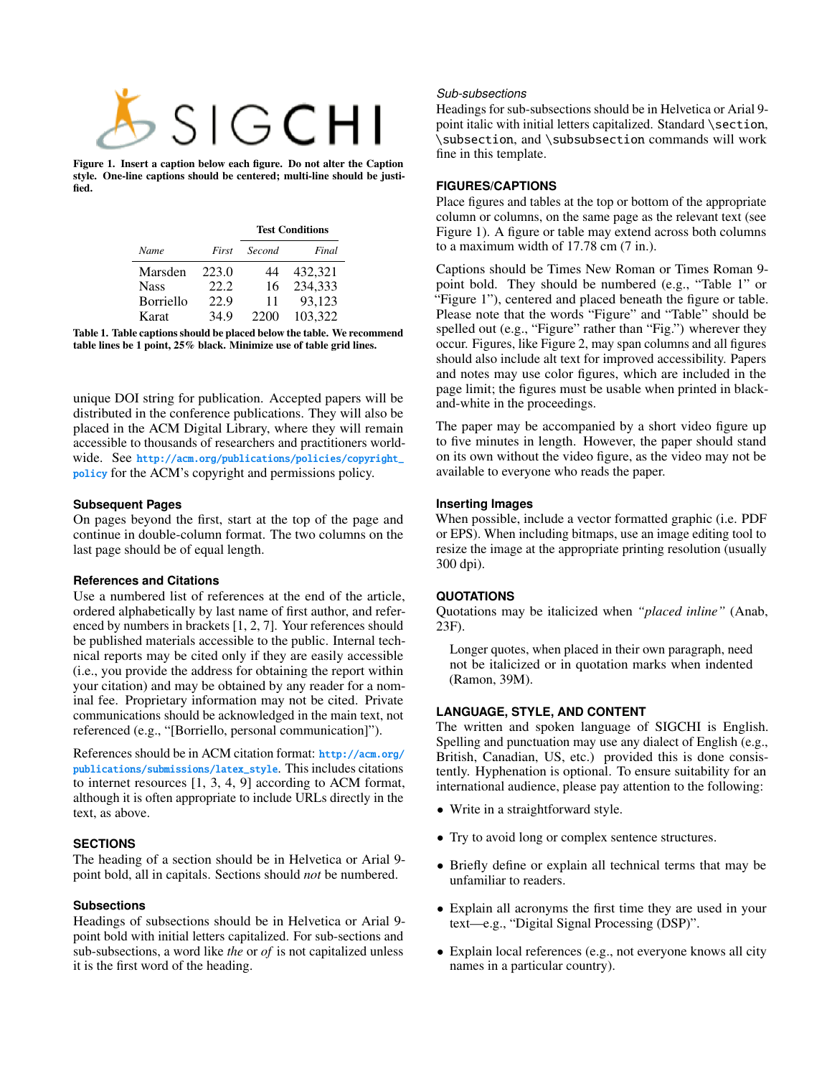

Figure 1. Insert a caption below each figure. Do not alter the Caption style. One-line captions should be centered; multi-line should be justified.

<span id="page-1-0"></span>

|             |       | <b>Test Conditions</b> |         |
|-------------|-------|------------------------|---------|
| Name        | First | Second                 | Final   |
| Marsden     | 223.0 | 44                     | 432,321 |
| <b>Nass</b> | 22.2. | 16                     | 234,333 |
| Borriello   | 22.9  | 11                     | 93,123  |
| Karat       | 34.9  | 2200                   | 103.322 |

<span id="page-1-1"></span>Table 1. Table captions should be placed below the table. We recommend table lines be 1 point, 25% black. Minimize use of table grid lines.

unique DOI string for publication. Accepted papers will be distributed in the conference publications. They will also be placed in the ACM Digital Library, where they will remain accessible to thousands of researchers and practitioners worldwide. See [http://acm.org/publications/policies/copyright\\_](http://acm.org/publications/policies/copyright_policy) [policy](http://acm.org/publications/policies/copyright_policy) for the ACM's copyright and permissions policy.

## **Subsequent Pages**

On pages beyond the first, start at the top of the page and continue in double-column format. The two columns on the last page should be of equal length.

#### **References and Citations**

Use a numbered list of references at the end of the article, ordered alphabetically by last name of first author, and referenced by numbers in brackets [\[1,](#page-3-0) [2,](#page-3-1) [7\]](#page-3-2). Your references should be published materials accessible to the public. Internal technical reports may be cited only if they are easily accessible (i.e., you provide the address for obtaining the report within your citation) and may be obtained by any reader for a nominal fee. Proprietary information may not be cited. Private communications should be acknowledged in the main text, not referenced (e.g., "[Borriello, personal communication]").

References should be in ACM citation format: [http://acm.org/](http://acm.org/publications/submissions/latex_style) [publications/submissions/latex\\_style](http://acm.org/publications/submissions/latex_style). This includes citations to internet resources [\[1,](#page-3-0) [3,](#page-3-3) [4,](#page-3-4) [9\]](#page-3-5) according to ACM format, although it is often appropriate to include URLs directly in the text, as above.

## **SECTIONS**

The heading of a section should be in Helvetica or Arial 9 point bold, all in capitals. Sections should *not* be numbered.

#### **Subsections**

Headings of subsections should be in Helvetica or Arial 9 point bold with initial letters capitalized. For sub-sections and sub-subsections, a word like *the* or *of* is not capitalized unless it is the first word of the heading.

## *Sub-subsections*

Headings for sub-subsections should be in Helvetica or Arial 9 point italic with initial letters capitalized. Standard \section, \subsection, and \subsubsection commands will work fine in this template.

## **FIGURES/CAPTIONS**

Place figures and tables at the top or bottom of the appropriate column or columns, on the same page as the relevant text (see Figure [1\)](#page-1-0). A figure or table may extend across both columns to a maximum width of 17.78 cm (7 in.).

Captions should be Times New Roman or Times Roman 9 point bold. They should be numbered (e.g., "Table [1"](#page-1-1) or "Figure [1"](#page-1-0)), centered and placed beneath the figure or table. Please note that the words "Figure" and "Table" should be spelled out (e.g., "Figure" rather than "Fig.") wherever they occur. Figures, like Figure [2,](#page-2-0) may span columns and all figures should also include alt text for improved accessibility. Papers and notes may use color figures, which are included in the page limit; the figures must be usable when printed in blackand-white in the proceedings.

The paper may be accompanied by a short video figure up to five minutes in length. However, the paper should stand on its own without the video figure, as the video may not be available to everyone who reads the paper.

## **Inserting Images**

When possible, include a vector formatted graphic (i.e. PDF or EPS). When including bitmaps, use an image editing tool to resize the image at the appropriate printing resolution (usually 300 dpi).

## **QUOTATIONS**

Quotations may be italicized when *"placed inline"* (Anab, 23F).

Longer quotes, when placed in their own paragraph, need not be italicized or in quotation marks when indented (Ramon, 39M).

## **LANGUAGE, STYLE, AND CONTENT**

The written and spoken language of SIGCHI is English. Spelling and punctuation may use any dialect of English (e.g., British, Canadian, US, etc.) provided this is done consistently. Hyphenation is optional. To ensure suitability for an international audience, please pay attention to the following:

- Write in a straightforward style.
- Try to avoid long or complex sentence structures.
- Briefly define or explain all technical terms that may be unfamiliar to readers.
- Explain all acronyms the first time they are used in your text—e.g., "Digital Signal Processing (DSP)".
- Explain local references (e.g., not everyone knows all city names in a particular country).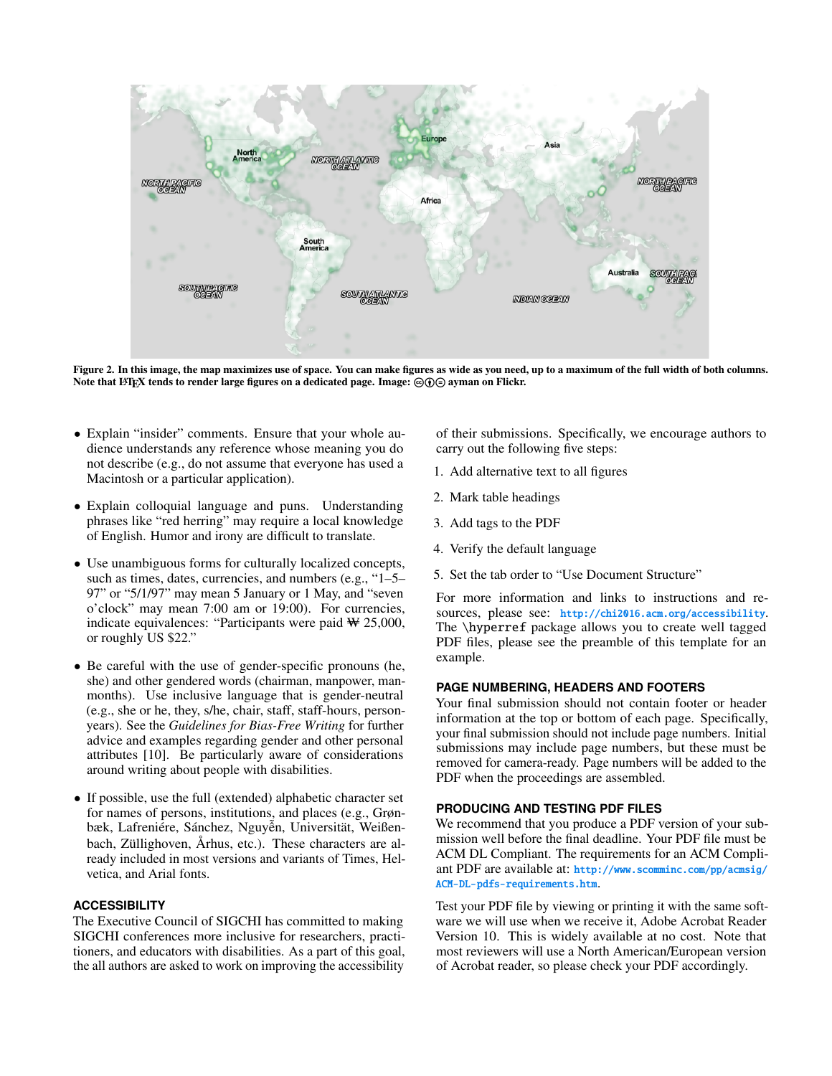

Figure 2. In this image, the map maximizes use of space. You can make figures as wide as you need, up to a maximum of the full width of both columns. Note that LATEX tends to render large figures on a dedicated page. Image:  $\circledcirc$  ayman on Flickr.

- <span id="page-2-0"></span>• Explain "insider" comments. Ensure that your whole audience understands any reference whose meaning you do not describe (e.g., do not assume that everyone has used a Macintosh or a particular application).
- Explain colloquial language and puns. Understanding phrases like "red herring" may require a local knowledge of English. Humor and irony are difficult to translate.
- Use unambiguous forms for culturally localized concepts, such as times, dates, currencies, and numbers (e.g., "1–5– 97" or "5/1/97" may mean 5 January or 1 May, and "seven o'clock" may mean 7:00 am or 19:00). For currencies, indicate equivalences: "Participants were paid ₩ 25,000, or roughly US \$22."
- Be careful with the use of gender-specific pronouns (he, she) and other gendered words (chairman, manpower, manmonths). Use inclusive language that is gender-neutral (e.g., she or he, they, s/he, chair, staff, staff-hours, personyears). See the *Guidelines for Bias-Free Writing* for further advice and examples regarding gender and other personal attributes [\[10\]](#page-3-6). Be particularly aware of considerations around writing about people with disabilities.
- If possible, use the full (extended) alphabetic character set for names of persons, institutions, and places (e.g., Grønbæk, Lafreniére, Sánchez, Nguyễn, Universität, Weißenbach, Züllighoven, Århus, etc.). These characters are already included in most versions and variants of Times, Helvetica, and Arial fonts.

## **ACCESSIBILITY**

The Executive Council of SIGCHI has committed to making SIGCHI conferences more inclusive for researchers, practitioners, and educators with disabilities. As a part of this goal, the all authors are asked to work on improving the accessibility

of their submissions. Specifically, we encourage authors to carry out the following five steps:

- 1. Add alternative text to all figures
- 2. Mark table headings
- 3. Add tags to the PDF
- 4. Verify the default language
- 5. Set the tab order to "Use Document Structure"

For more information and links to instructions and resources, please see: <http://chi2016.acm.org/accessibility>. The \hyperref package allows you to create well tagged PDF files, please see the preamble of this template for an example.

#### **PAGE NUMBERING, HEADERS AND FOOTERS**

Your final submission should not contain footer or header information at the top or bottom of each page. Specifically, your final submission should not include page numbers. Initial submissions may include page numbers, but these must be removed for camera-ready. Page numbers will be added to the PDF when the proceedings are assembled.

## **PRODUCING AND TESTING PDF FILES**

We recommend that you produce a PDF version of your submission well before the final deadline. Your PDF file must be ACM DL Compliant. The requirements for an ACM Compliant PDF are available at: [http://www.scomminc.com/pp/acmsig/](http://www.scomminc.com/pp/acmsig/ACM-DL-pdfs-requirements.htm) [ACM-DL-pdfs-requirements.htm](http://www.scomminc.com/pp/acmsig/ACM-DL-pdfs-requirements.htm).

Test your PDF file by viewing or printing it with the same software we will use when we receive it, Adobe Acrobat Reader Version 10. This is widely available at no cost. Note that most reviewers will use a North American/European version of Acrobat reader, so please check your PDF accordingly.